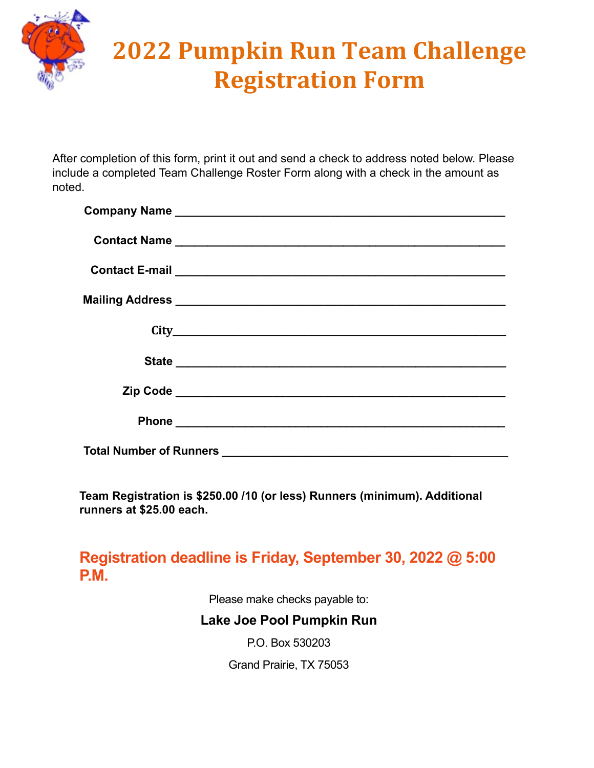

## **2022 Pumpkin Run Team Challenge Registration Form**

After completion of this form, print it out and send a check to address noted below. Please include a completed Team Challenge Roster Form along with a check in the amount as noted.

| <b>Total Number of Runners</b> |  |  |
|--------------------------------|--|--|

**Team Registration is \$250.00 /10 (or less) Runners (minimum). Additional runners at \$25.00 each.**

**Registration deadline is Friday, September 30, 2022 @ 5:00 P.M.**

Please make checks payable to:

## **Lake Joe Pool Pumpkin Run**

P.O. Box 530203

Grand Prairie, TX 75053